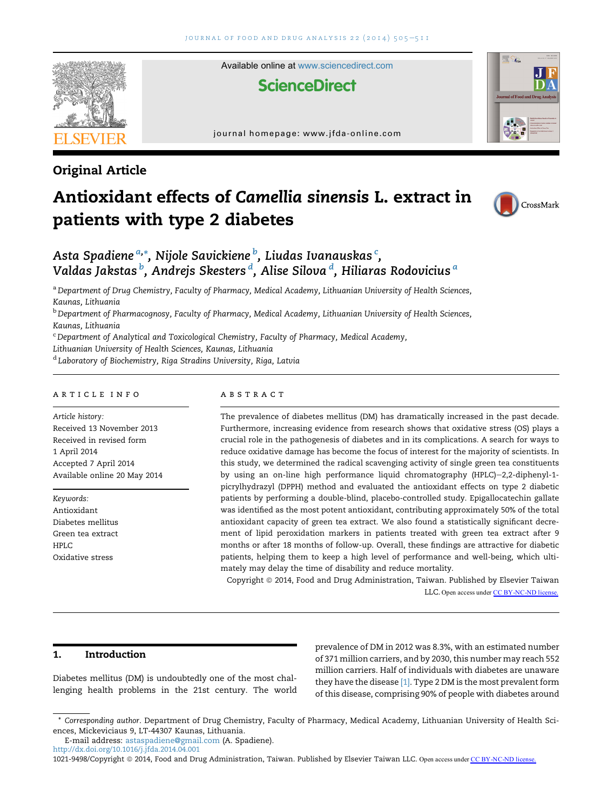

Available online at [www.sciencedirect.com](www.sciencedirect.com/science/journal/10219498)

# **ScienceDirect**

journal homepage:<www.jfda-online.com>



# Original Article

# Antioxidant effects of Camellia sinensis L. extract in patients with type 2 diabetes



# Asta Spadiene <sup>a,</sup>\*, Nijole Savickiene <sup>b</sup>, Liudas Ivanauskas <sup>c</sup>, Valdas Jakstas <sup>b</sup>, Andrejs Skesters <sup>d</sup>, Alise Silova <sup>d</sup>, Hiliaras Rodovicius <sup>a</sup>

a Department of Drug Chemistry, Faculty of Pharmacy, Medical Academy, Lithuanian University of Health Sciences, Kaunas, Lithuania

<sup>b</sup> Department of Pharmacognosy, Faculty of Pharmacy, Medical Academy, Lithuanian University of Health Sciences, Kaunas, Lithuania

<sup>c</sup> Department of Analytical and Toxicological Chemistry, Faculty of Pharmacy, Medical Academy,

Lithuanian University of Health Sciences, Kaunas, Lithuania

<sup>d</sup> Laboratory of Biochemistry, Riga Stradins University, Riga, Latvia

### article info

Article history: Received 13 November 2013 Received in revised form 1 April 2014 Accepted 7 April 2014 Available online 20 May 2014

Keywords: Antioxidant Diabetes mellitus Green tea extract HPLC Oxidative stress

## **ABSTRACT**

The prevalence of diabetes mellitus (DM) has dramatically increased in the past decade. Furthermore, increasing evidence from research shows that oxidative stress (OS) plays a crucial role in the pathogenesis of diabetes and in its complications. A search for ways to reduce oxidative damage has become the focus of interest for the majority of scientists. In this study, we determined the radical scavenging activity of single green tea constituents by using an on-line high performance liquid chromatography (HPLC)-2,2-diphenyl-1picrylhydrazyl (DPPH) method and evaluated the antioxidant effects on type 2 diabetic patients by performing a double-blind, placebo-controlled study. Epigallocatechin gallate was identified as the most potent antioxidant, contributing approximately 50% of the total antioxidant capacity of green tea extract. We also found a statistically significant decrement of lipid peroxidation markers in patients treated with green tea extract after 9 months or after 18 months of follow-up. Overall, these findings are attractive for diabetic patients, helping them to keep a high level of performance and well-being, which ultimately may delay the time of disability and reduce mortality.

Copyright @ 2014, Food and Drug Administration, Taiwan. Published by Elsevier Taiwan LLC. Open access under [CC BY-NC-ND license.](http://creativecommons.org/licenses/by-nc-nd/4.0/)

# 1. Introduction

Diabetes mellitus (DM) is undoubtedly one of the most challenging health problems in the 21st century. The world prevalence of DM in 2012 was 8.3%, with an estimated number of 371 million carriers, and by 2030, this number may reach 552 million carriers. Half of individuals with diabetes are unaware they have the disease [\[1\].](#page-5-0) Type 2 DM is the most prevalent form of this disease, comprising 90% of people with diabetes around

<sup>\*</sup> Corresponding author. Department of Drug Chemistry, Faculty of Pharmacy, Medical Academy, Lithuanian University of Health Sciences, Mickeviciaus 9, LT-44307 Kaunas, Lithuania.

E-mail address: [astaspadiene@gmail.com](mailto:astaspadiene@gmail.com) (A. Spadiene).

<http://dx.doi.org/10.1016/j.jfda.2014.04.001>

<sup>1021-9498/</sup>Copyright © 2014, Food and Drug Administration, Taiwan. Published by Elsevier Taiwan LLC. Open access under [CC BY-NC-ND license.](http://creativecommons.org/licenses/by-nc-nd/4.0/)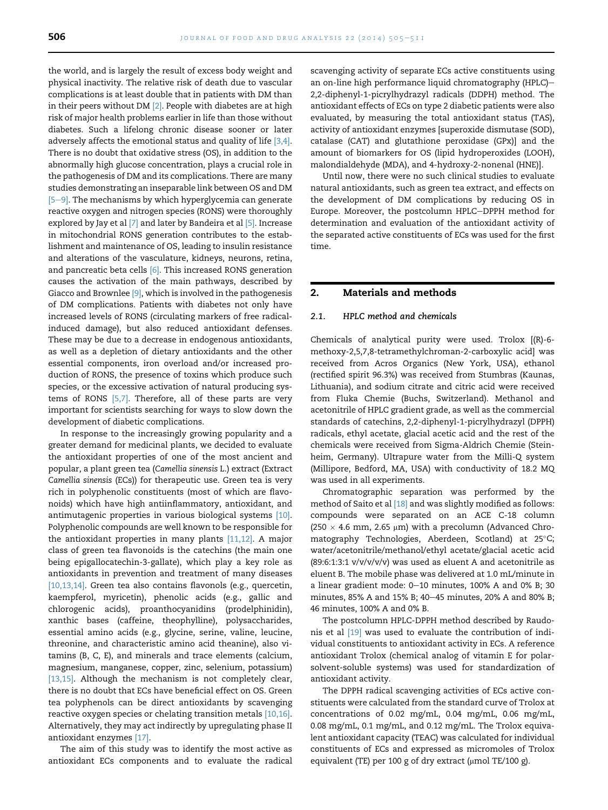the world, and is largely the result of excess body weight and physical inactivity. The relative risk of death due to vascular complications is at least double that in patients with DM than in their peers without DM  $[2]$ . People with diabetes are at high risk of major health problems earlier in life than those without diabetes. Such a lifelong chronic disease sooner or later adversely affects the emotional status and quality of life [\[3,4\]](#page-5-0). There is no doubt that oxidative stress (OS), in addition to the abnormally high glucose concentration, plays a crucial role in the pathogenesis of DM and its complications. There are many studies demonstrating an inseparable link between OS and DM  $[5-9]$  $[5-9]$ . The mechanisms by which hyperglycemia can generate reactive oxygen and nitrogen species (RONS) were thoroughly explored by Jay et al [\[7\]](#page-5-0) and later by Bandeira et al [\[5\].](#page-5-0) Increase in mitochondrial RONS generation contributes to the establishment and maintenance of OS, leading to insulin resistance and alterations of the vasculature, kidneys, neurons, retina, and pancreatic beta cells [\[6\]](#page-5-0). This increased RONS generation causes the activation of the main pathways, described by Giacco and Brownlee [\[9\]](#page-5-0), which is involved in the pathogenesis of DM complications. Patients with diabetes not only have increased levels of RONS (circulating markers of free radicalinduced damage), but also reduced antioxidant defenses. These may be due to a decrease in endogenous antioxidants, as well as a depletion of dietary antioxidants and the other essential components, iron overload and/or increased production of RONS, the presence of toxins which produce such species, or the excessive activation of natural producing systems of RONS [\[5,7\].](#page-5-0) Therefore, all of these parts are very important for scientists searching for ways to slow down the development of diabetic complications.

In response to the increasingly growing popularity and a greater demand for medicinal plants, we decided to evaluate the antioxidant properties of one of the most ancient and popular, a plant green tea (Camellia sinensis L.) extract (Extract Camellia sinensis (ECs)) for therapeutic use. Green tea is very rich in polyphenolic constituents (most of which are flavonoids) which have high antiinflammatory, antioxidant, and antimutagenic properties in various biological systems [\[10\]](#page-5-0). Polyphenolic compounds are well known to be responsible for the antioxidant properties in many plants [\[11,12\]](#page-5-0). A major class of green tea flavonoids is the catechins (the main one being epigallocatechin-3-gallate), which play a key role as antioxidants in prevention and treatment of many diseases [\[10,13,14\]](#page-5-0). Green tea also contains flavonols (e.g., quercetin, kaempferol, myricetin), phenolic acids (e.g., gallic and chlorogenic acids), proanthocyanidins (prodelphinidin), xanthic bases (caffeine, theophylline), polysaccharides, essential amino acids (e.g., glycine, serine, valine, leucine, threonine, and characteristic amino acid theanine), also vitamins (B, C, E), and minerals and trace elements (calcium, magnesium, manganese, copper, zinc, selenium, potassium) [\[13,15\]](#page-5-0). Although the mechanism is not completely clear, there is no doubt that ECs have beneficial effect on OS. Green tea polyphenols can be direct antioxidants by scavenging reactive oxygen species or chelating transition metals [\[10,16\]](#page-5-0). Alternatively, they may act indirectly by upregulating phase II antioxidant enzymes [\[17\].](#page-5-0)

The aim of this study was to identify the most active as antioxidant ECs components and to evaluate the radical scavenging activity of separate ECs active constituents using an on-line high performance liquid chromatography (HPLC)-2,2-diphenyl-1-picrylhydrazyl radicals (DDPH) method. The antioxidant effects of ECs on type 2 diabetic patients were also evaluated, by measuring the total antioxidant status (TAS), activity of antioxidant enzymes [superoxide dismutase (SOD), catalase (CAT) and glutathione peroxidase (GPx)] and the amount of biomarkers for OS (lipid hydroperoxides (LOOH), malondialdehyde (MDA), and 4-hydroxy-2-nonenal (HNE)].

Until now, there were no such clinical studies to evaluate natural antioxidants, such as green tea extract, and effects on the development of DM complications by reducing OS in Europe. Moreover, the postcolumn HPLC-DPPH method for determination and evaluation of the antioxidant activity of the separated active constituents of ECs was used for the first time.

# 2. Materials and methods

### 2.1. HPLC method and chemicals

Chemicals of analytical purity were used. Trolox [(R)-6 methoxy-2,5,7,8-tetramethylchroman-2-carboxylic acid] was received from Acros Organics (New York, USA), ethanol (rectified spirit 96.3%) was received from Stumbras (Kaunas, Lithuania), and sodium citrate and citric acid were received from Fluka Chemie (Buchs, Switzerland). Methanol and acetonitrile of HPLC gradient grade, as well as the commercial standards of catechins, 2,2-diphenyl-1-picrylhydrazyl (DPPH) radicals, ethyl acetate, glacial acetic acid and the rest of the chemicals were received from Sigma-Aldrich Chemie (Steinheim, Germany). Ultrapure water from the Milli-Q system (Millipore, Bedford, MA, USA) with conductivity of 18.2 MQ was used in all experiments.

Chromatographic separation was performed by the method of Saito et al <a>[\[18\]](#page-5-0)</a> and was slightly modified as follows: compounds were separated on an ACE C-18 column (250  $\times$  4.6 mm, 2.65 µm) with a precolumn (Advanced Chromatography Technologies, Aberdeen, Scotland) at 25°C; water/acetonitrile/methanol/ethyl acetate/glacial acetic acid (89:6:1:3:1 v/v/v/v/v) was used as eluent A and acetonitrile as eluent B. The mobile phase was delivered at 1.0 mL/minute in a linear gradient mode:  $0-10$  minutes, 100% A and 0% B; 30 minutes, 85% A and 15% B; 40-45 minutes, 20% A and 80% B; 46 minutes, 100% A and 0% B.

The postcolumn HPLC-DPPH method described by Raudonis et al [\[19\]](#page-5-0) was used to evaluate the contribution of individual constituents to antioxidant activity in ECs. A reference antioxidant Trolox (chemical analog of vitamin E for polarsolvent-soluble systems) was used for standardization of antioxidant activity.

The DPPH radical scavenging activities of ECs active constituents were calculated from the standard curve of Trolox at concentrations of 0.02 mg/mL, 0.04 mg/mL, 0.06 mg/mL, 0.08 mg/mL, 0.1 mg/mL, and 0.12 mg/mL. The Trolox equivalent antioxidant capacity (TEAC) was calculated for individual constituents of ECs and expressed as micromoles of Trolox equivalent (TE) per 100 g of dry extract ( $\mu$ mol TE/100 g).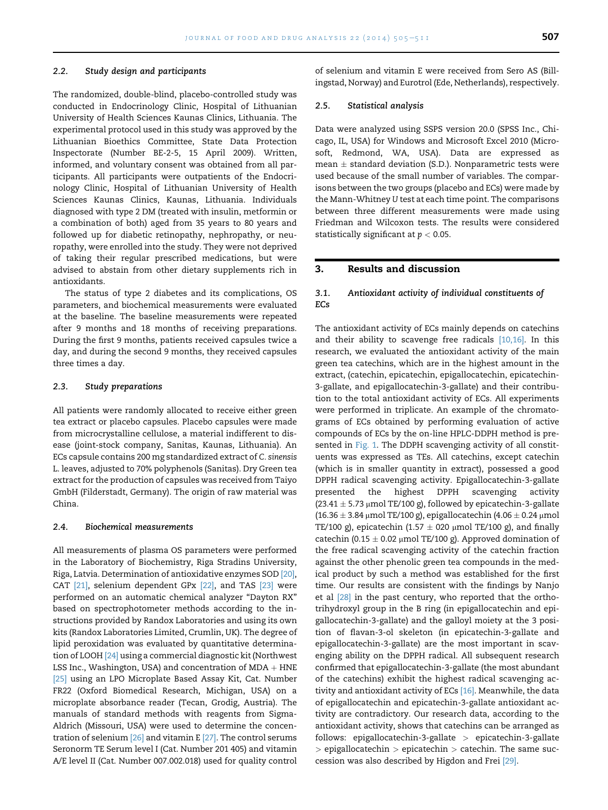#### 2.2. Study design and participants

The randomized, double-blind, placebo-controlled study was conducted in Endocrinology Clinic, Hospital of Lithuanian University of Health Sciences Kaunas Clinics, Lithuania. The experimental protocol used in this study was approved by the Lithuanian Bioethics Committee, State Data Protection Inspectorate (Number BE-2-5, 15 April 2009). Written, informed, and voluntary consent was obtained from all participants. All participants were outpatients of the Endocrinology Clinic, Hospital of Lithuanian University of Health Sciences Kaunas Clinics, Kaunas, Lithuania. Individuals diagnosed with type 2 DM (treated with insulin, metformin or a combination of both) aged from 35 years to 80 years and followed up for diabetic retinopathy, nephropathy, or neuropathy, were enrolled into the study. They were not deprived of taking their regular prescribed medications, but were advised to abstain from other dietary supplements rich in antioxidants.

The status of type 2 diabetes and its complications, OS parameters, and biochemical measurements were evaluated at the baseline. The baseline measurements were repeated after 9 months and 18 months of receiving preparations. During the first 9 months, patients received capsules twice a day, and during the second 9 months, they received capsules three times a day.

#### 2.3. Study preparations

All patients were randomly allocated to receive either green tea extract or placebo capsules. Placebo capsules were made from microcrystalline cellulose, a material indifferent to disease (joint-stock company, Sanitas, Kaunas, Lithuania). An ECs capsule contains 200 mg standardized extract of C. sinensis L. leaves, adjusted to 70% polyphenols (Sanitas). Dry Green tea extract for the production of capsules was received from Taiyo GmbH (Filderstadt, Germany). The origin of raw material was China.

#### 2.4. Biochemical measurements

All measurements of plasma OS parameters were performed in the Laboratory of Biochemistry, Riga Stradins University, Riga, Latvia. Determination of antioxidative enzymes SOD [\[20\],](#page-5-0) CAT [\[21\],](#page-5-0) selenium dependent GPx [\[22\],](#page-6-0) and TAS [\[23\]](#page-6-0) were performed on an automatic chemical analyzer "Dayton RX" based on spectrophotometer methods according to the instructions provided by Randox Laboratories and using its own kits (Randox Laboratories Limited, Crumlin, UK). The degree of lipid peroxidation was evaluated by quantitative determination of LOOH [\[24\]](#page-6-0) using a commercial diagnostic kit (Northwest LSS Inc., Washington, USA) and concentration of  $MDA + HNE$ [\[25\]](#page-6-0) using an LPO Microplate Based Assay Kit, Cat. Number FR22 (Oxford Biomedical Research, Michigan, USA) on a microplate absorbance reader (Tecan, Grodig, Austria). The manuals of standard methods with reagents from Sigma-Aldrich (Missouri, USA) were used to determine the concentration of selenium [\[26\]](#page-6-0) and vitamin E [\[27\].](#page-6-0) The control serums Seronorm TE Serum level I (Cat. Number 201 405) and vitamin A/E level II (Cat. Number 007.002.018) used for quality control of selenium and vitamin E were received from Sero AS (Billingstad, Norway) and Eurotrol (Ede, Netherlands), respectively.

#### 2.5. Statistical analysis

Data were analyzed using SSPS version 20.0 (SPSS Inc., Chicago, IL, USA) for Windows and Microsoft Excel 2010 (Microsoft, Redmond, WA, USA). Data are expressed as mean  $\pm$  standard deviation (S.D.). Nonparametric tests were used because of the small number of variables. The comparisons between the two groups (placebo and ECs) were made by the Mann-Whitney U test at each time point. The comparisons between three different measurements were made using Friedman and Wilcoxon tests. The results were considered statistically significant at  $p < 0.05$ .

# 3. Results and discussion

## 3.1. Antioxidant activity of individual constituents of ECs

The antioxidant activity of ECs mainly depends on catechins and their ability to scavenge free radicals [\[10,16\].](#page-5-0) In this research, we evaluated the antioxidant activity of the main green tea catechins, which are in the highest amount in the extract, (catechin, epicatechin, epigallocatechin, epicatechin-3-gallate, and epigallocatechin-3-gallate) and their contribution to the total antioxidant activity of ECs. All experiments were performed in triplicate. An example of the chromatograms of ECs obtained by performing evaluation of active compounds of ECs by the on-line HPLC-DDPH method is pre-sented in [Fig. 1.](#page-3-0) The DDPH scavenging activity of all constituents was expressed as TEs. All catechins, except catechin (which is in smaller quantity in extract), possessed a good DPPH radical scavenging activity. Epigallocatechin-3-gallate presented the highest DPPH scavenging activity  $(23.41 \pm 5.73 \,\mu\text{mol}$  TE/100 g), followed by epicatechin-3-gallate (16.36  $\pm$  3.84 µmol TE/100 g), epigallocatechin (4.06  $\pm$  0.24 µmol TE/100 g), epicatechin (1.57  $\pm$  020 µmol TE/100 g), and finally catechin (0.15  $\pm$  0.02 µmol TE/100 g). Approved domination of the free radical scavenging activity of the catechin fraction against the other phenolic green tea compounds in the medical product by such a method was established for the first time. Our results are consistent with the findings by Nanjo et al [\[28\]](#page-6-0) in the past century, who reported that the orthotrihydroxyl group in the B ring (in epigallocatechin and epigallocatechin-3-gallate) and the galloyl moiety at the 3 position of flavan-3-ol skeleton (in epicatechin-3-gallate and epigallocatechin-3-gallate) are the most important in scavenging ability on the DPPH radical. All subsequent research confirmed that epigallocatechin-3-gallate (the most abundant of the catechins) exhibit the highest radical scavenging ac-tivity and antioxidant activity of ECs [\[16\].](#page-5-0) Meanwhile, the data of epigallocatechin and epicatechin-3-gallate antioxidant activity are contradictory. Our research data, according to the antioxidant activity, shows that catechins can be arranged as follows: epigallocatechin-3-gallate > epicatechin-3-gallate  $>$  epigallocatechin  $>$  epicatechin  $>$  catechin. The same succession was also described by Higdon and Frei [\[29\]](#page-6-0).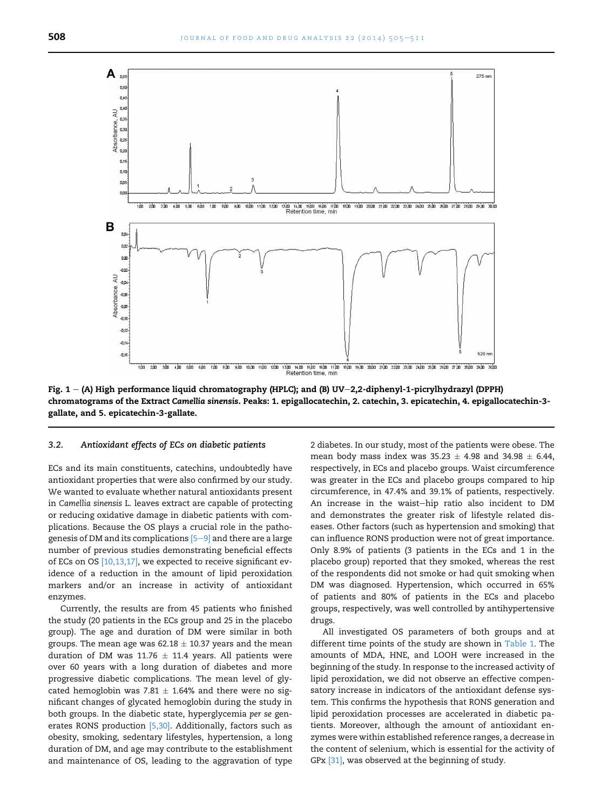<span id="page-3-0"></span>

Fig. 1 - (A) High performance liquid chromatography (HPLC); and (B) UV-2,2-diphenyl-1-picrylhydrazyl (DPPH) chromatograms of the Extract Camellia sinensis. Peaks: 1. epigallocatechin, 2. catechin, 3. epicatechin, 4. epigallocatechin-3 gallate, and 5. epicatechin-3-gallate.

#### 3.2. Antioxidant effects of ECs on diabetic patients

ECs and its main constituents, catechins, undoubtedly have antioxidant properties that were also confirmed by our study. We wanted to evaluate whether natural antioxidants present in Camellia sinensis L. leaves extract are capable of protecting or reducing oxidative damage in diabetic patients with complications. Because the OS plays a crucial role in the pathogenesis of DM and its complications  $[5-9]$  $[5-9]$  $[5-9]$  and there are a large number of previous studies demonstrating beneficial effects of ECs on OS [\[10,13,17\]](#page-5-0), we expected to receive significant evidence of a reduction in the amount of lipid peroxidation markers and/or an increase in activity of antioxidant enzymes.

Currently, the results are from 45 patients who finished the study (20 patients in the ECs group and 25 in the placebo group). The age and duration of DM were similar in both groups. The mean age was  $62.18 \pm 10.37$  years and the mean duration of DM was 11.76  $\pm$  11.4 years. All patients were over 60 years with a long duration of diabetes and more progressive diabetic complications. The mean level of glycated hemoglobin was 7.81  $\pm$  1.64% and there were no significant changes of glycated hemoglobin during the study in both groups. In the diabetic state, hyperglycemia per se gen-erates RONS production [\[5,30\].](#page-5-0) Additionally, factors such as obesity, smoking, sedentary lifestyles, hypertension, a long duration of DM, and age may contribute to the establishment and maintenance of OS, leading to the aggravation of type

2 diabetes. In our study, most of the patients were obese. The mean body mass index was  $35.23 \pm 4.98$  and  $34.98 \pm 6.44$ , respectively, in ECs and placebo groups. Waist circumference was greater in the ECs and placebo groups compared to hip circumference, in 47.4% and 39.1% of patients, respectively. An increase in the waist-hip ratio also incident to DM and demonstrates the greater risk of lifestyle related diseases. Other factors (such as hypertension and smoking) that can influence RONS production were not of great importance. Only 8.9% of patients (3 patients in the ECs and 1 in the placebo group) reported that they smoked, whereas the rest of the respondents did not smoke or had quit smoking when DM was diagnosed. Hypertension, which occurred in 65% of patients and 80% of patients in the ECs and placebo groups, respectively, was well controlled by antihypertensive drugs.

All investigated OS parameters of both groups and at different time points of the study are shown in [Table 1](#page-4-0). The amounts of MDA, HNE, and LOOH were increased in the beginning of the study. In response to the increased activity of lipid peroxidation, we did not observe an effective compensatory increase in indicators of the antioxidant defense system. This confirms the hypothesis that RONS generation and lipid peroxidation processes are accelerated in diabetic patients. Moreover, although the amount of antioxidant enzymes were within established reference ranges, a decrease in the content of selenium, which is essential for the activity of GPx [\[31\]](#page-6-0), was observed at the beginning of study.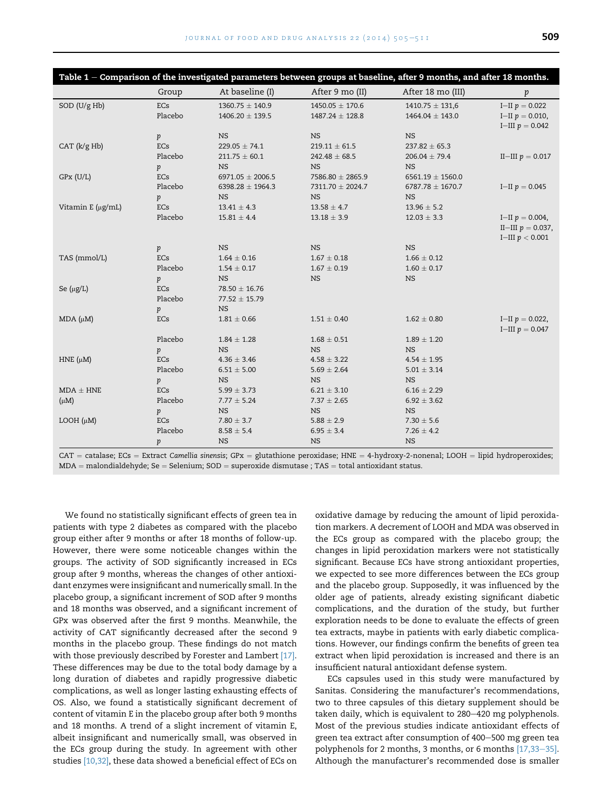<span id="page-4-0"></span>

| Table 1 - Comparison of the investigated parameters between groups at baseline, after 9 months, and after 18 months. |                  |                                            |                                            |                                                                                                                                          |                                                             |
|----------------------------------------------------------------------------------------------------------------------|------------------|--------------------------------------------|--------------------------------------------|------------------------------------------------------------------------------------------------------------------------------------------|-------------------------------------------------------------|
|                                                                                                                      | Group            | At baseline (I)                            | After 9 mo (II)                            | After 18 mo (III)                                                                                                                        | $\,p\,$                                                     |
| SOD (U/g Hb)                                                                                                         | ECs<br>Placebo   | $1360.75 \pm 140.9$<br>$1406.20 \pm 139.5$ | $1450.05 \pm 170.6$<br>$1487.24 \pm 128.8$ | $1410.75 \pm 131.6$<br>$1464.04 \pm 143.0$                                                                                               | I-II $p = 0.022$<br>I-II $p = 0.010$ ,<br>I-III $p = 0.042$ |
|                                                                                                                      | p                | <b>NS</b>                                  | <b>NS</b>                                  | <b>NS</b>                                                                                                                                |                                                             |
| CAT (k/g Hb)                                                                                                         | ECs              | $229.05 \pm 74.1$                          | $219.11 \pm 61.5$                          | $237.82 \pm 65.3$                                                                                                                        |                                                             |
|                                                                                                                      | Placebo          | $211.75 \pm 60.1$                          | $242.48 \pm 68.5$                          | $206.04 \pm 79.4$                                                                                                                        | II-III $p = 0.017$                                          |
|                                                                                                                      | p                | <b>NS</b>                                  | <b>NS</b>                                  | <b>NS</b>                                                                                                                                |                                                             |
| $GPx$ (U/L)                                                                                                          | <b>ECs</b>       | 6971.05 $\pm$ 2006.5                       | 7586.80 ± 2865.9                           | $6561.19 \pm 1560.0$                                                                                                                     |                                                             |
|                                                                                                                      | Placebo          | $6398.28 \pm 1964.3$                       | 7311.70 ± 2024.7                           | $6787.78 \pm 1670.7$                                                                                                                     | I-II $p = 0.045$                                            |
|                                                                                                                      | p                | <b>NS</b>                                  | <b>NS</b>                                  | <b>NS</b>                                                                                                                                |                                                             |
| Vitamin E (µg/mL)                                                                                                    | <b>ECs</b>       | $13.41 \pm 4.3$                            | $13.58 \pm 4.7$                            | $13.96 \pm 5.2$                                                                                                                          |                                                             |
|                                                                                                                      | Placebo          | $15.81 \pm 4.4$                            | $13.18 \pm 3.9$                            | $12.03 \pm 3.3$                                                                                                                          | I-II $p = 0.004$ ,                                          |
|                                                                                                                      |                  |                                            |                                            |                                                                                                                                          | II-III $p = 0.037$ ,                                        |
|                                                                                                                      |                  |                                            |                                            |                                                                                                                                          | I-III $p < 0.001$                                           |
|                                                                                                                      | p                | <b>NS</b>                                  | <b>NS</b>                                  | <b>NS</b>                                                                                                                                |                                                             |
| TAS (mmol/L)                                                                                                         | ECs              | $1.64 \pm 0.16$                            | $1.67 \pm 0.18$                            | $1.66 \pm 0.12$                                                                                                                          |                                                             |
|                                                                                                                      | Placebo          | $1.54 \pm 0.17$                            | $1.67 \pm 0.19$                            | $1.60 \pm 0.17$                                                                                                                          |                                                             |
|                                                                                                                      | p                | <b>NS</b>                                  | <b>NS</b>                                  | $_{\rm NS}$                                                                                                                              |                                                             |
| Se $(\mu g/L)$                                                                                                       | ECs              | $78.50 \pm 16.76$                          |                                            |                                                                                                                                          |                                                             |
|                                                                                                                      | Placebo          | $77.52 \pm 15.79$                          |                                            |                                                                                                                                          |                                                             |
|                                                                                                                      | p                | <b>NS</b>                                  |                                            |                                                                                                                                          |                                                             |
| $MDA (\mu M)$                                                                                                        | <b>ECs</b>       | $1.81 \pm 0.66$                            | $1.51 \pm 0.40$                            | $1.62 \pm 0.80$                                                                                                                          | I-II $p = 0.022$ ,<br>I-III $p = 0.047$                     |
|                                                                                                                      | Placebo          | $1.84 \pm 1.28$                            | $1.68 \pm 0.51$                            | $1.89 \pm 1.20$                                                                                                                          |                                                             |
|                                                                                                                      | p                | <b>NS</b>                                  | <b>NS</b>                                  | <b>NS</b>                                                                                                                                |                                                             |
| HNE $(\mu M)$                                                                                                        | <b>ECs</b>       | $4.36 \pm 3.46$                            | $4.58 \pm 3.22$                            | $4.54 \pm 1.95$                                                                                                                          |                                                             |
|                                                                                                                      | Placebo          | $6.51 \pm 5.00$                            | $5.69 \pm 2.64$                            | $5.01 \pm 3.14$                                                                                                                          |                                                             |
|                                                                                                                      | p                | <b>NS</b>                                  | <b>NS</b>                                  | <b>NS</b>                                                                                                                                |                                                             |
| $MDA \pm HNE$                                                                                                        | ECs              | $5.99 \pm 3.73$                            | $6.21 \pm 3.10$                            | $6.16 \pm 2.29$                                                                                                                          |                                                             |
| $(\mu M)$                                                                                                            | Placebo          | $7.77 \pm 5.24$                            | $7.37 \pm 2.65$                            | $6.92 \pm 3.62$                                                                                                                          |                                                             |
|                                                                                                                      | p                | <b>NS</b>                                  | <b>NS</b>                                  | <b>NS</b>                                                                                                                                |                                                             |
| LOOH $(\mu M)$                                                                                                       | ECs              | $7.80 \pm 3.7$                             | $5.88 \pm 2.9$                             | $7.30 \pm 5.6$                                                                                                                           |                                                             |
|                                                                                                                      | Placebo          | $8.58 \pm 5.4$                             | $6.95 \pm 3.4$                             | $7.26 \pm 4.2$                                                                                                                           |                                                             |
|                                                                                                                      | $\boldsymbol{p}$ | <b>NS</b>                                  | <b>NS</b>                                  | <b>NS</b>                                                                                                                                |                                                             |
|                                                                                                                      |                  |                                            |                                            | $CAT =$ catalase; ECs = Extract Camellia sinensis; GPx = glutathione peroxidase; HNE = 4-hydroxy-2-nonenal; LOOH = lipid hydroperoxides; |                                                             |

 $\mathtt{CAT} = \mathtt{catalase}; \mathtt{ECS} = \mathtt{Extract}$  Camellia sinensis; GPx  $=$  glutathione peroxidase; HNE  $=$  4-hydroxy-2-nonenal; LOOH  $=$  lipid hydroperoxides;  $MDA =$  malondialdehyde; Se  $=$  Selenium; SOD  $=$  superoxide dismutase ; TAS  $=$  total antioxidant status.

We found no statistically significant effects of green tea in patients with type 2 diabetes as compared with the placebo group either after 9 months or after 18 months of follow-up. However, there were some noticeable changes within the groups. The activity of SOD significantly increased in ECs group after 9 months, whereas the changes of other antioxidant enzymes were insignificant and numerically small. In the placebo group, a significant increment of SOD after 9 months and 18 months was observed, and a significant increment of GPx was observed after the first 9 months. Meanwhile, the activity of CAT significantly decreased after the second 9 months in the placebo group. These findings do not match with those previously described by Forester and Lambert [\[17\].](#page-5-0) These differences may be due to the total body damage by a long duration of diabetes and rapidly progressive diabetic complications, as well as longer lasting exhausting effects of OS. Also, we found a statistically significant decrement of content of vitamin E in the placebo group after both 9 months and 18 months. A trend of a slight increment of vitamin E, albeit insignificant and numerically small, was observed in the ECs group during the study. In agreement with other studies [\[10,32\],](#page-5-0) these data showed a beneficial effect of ECs on

oxidative damage by reducing the amount of lipid peroxidation markers. A decrement of LOOH and MDA was observed in the ECs group as compared with the placebo group; the changes in lipid peroxidation markers were not statistically significant. Because ECs have strong antioxidant properties, we expected to see more differences between the ECs group and the placebo group. Supposedly, it was influenced by the older age of patients, already existing significant diabetic complications, and the duration of the study, but further exploration needs to be done to evaluate the effects of green tea extracts, maybe in patients with early diabetic complications. However, our findings confirm the benefits of green tea extract when lipid peroxidation is increased and there is an insufficient natural antioxidant defense system.

ECs capsules used in this study were manufactured by Sanitas. Considering the manufacturer's recommendations, two to three capsules of this dietary supplement should be taken daily, which is equivalent to 280-420 mg polyphenols. Most of the previous studies indicate antioxidant effects of green tea extract after consumption of 400-500 mg green tea polyphenols for 2 months, 3 months, or 6 months  $[17,33-35]$  $[17,33-35]$ . Although the manufacturer's recommended dose is smaller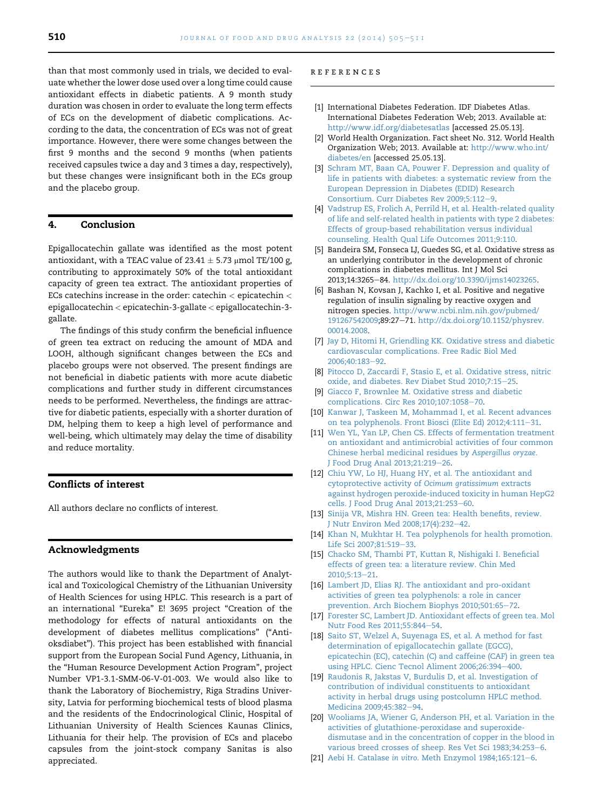<span id="page-5-0"></span>than that most commonly used in trials, we decided to evaluate whether the lower dose used over a long time could cause antioxidant effects in diabetic patients. A 9 month study duration was chosen in order to evaluate the long term effects of ECs on the development of diabetic complications. According to the data, the concentration of ECs was not of great importance. However, there were some changes between the first 9 months and the second 9 months (when patients received capsules twice a day and 3 times a day, respectively), but these changes were insignificant both in the ECs group and the placebo group.

#### 4. Conclusion

Epigallocatechin gallate was identified as the most potent antioxidant, with a TEAC value of  $23.41 \pm 5.73$  µmol TE/100 g, contributing to approximately 50% of the total antioxidant capacity of green tea extract. The antioxidant properties of ECs catechins increase in the order: catechin < epicatechin < epigallocatechin < epicatechin-3-gallate < epigallocatechin-3 gallate.

The findings of this study confirm the beneficial influence of green tea extract on reducing the amount of MDA and LOOH, although significant changes between the ECs and placebo groups were not observed. The present findings are not beneficial in diabetic patients with more acute diabetic complications and further study in different circumstances needs to be performed. Nevertheless, the findings are attractive for diabetic patients, especially with a shorter duration of DM, helping them to keep a high level of performance and well-being, which ultimately may delay the time of disability and reduce mortality.

## Conflicts of interest

All authors declare no conflicts of interest.

#### Acknowledgments

The authors would like to thank the Department of Analytical and Toxicological Chemistry of the Lithuanian University of Health Sciences for using HPLC. This research is a part of an international "Eureka" E! 3695 project "Creation of the methodology for effects of natural antioxidants on the development of diabetes mellitus complications" ("Antioksdiabet"). This project has been established with financial support from the European Social Fund Agency, Lithuania, in the "Human Resource Development Action Program", project Number VP1-3.1-SMM-06-V-01-003. We would also like to thank the Laboratory of Biochemistry, Riga Stradins University, Latvia for performing biochemical tests of blood plasma and the residents of the Endocrinological Clinic, Hospital of Lithuanian University of Health Sciences Kaunas Clinics, Lithuania for their help. The provision of ECs and placebo capsules from the joint-stock company Sanitas is also appreciated.

#### references

- [1] International Diabetes Federation. IDF Diabetes Atlas. International Diabetes Federation Web; 2013. Available at: <http://www.idf.org/diabetesatlas> [accessed 25.05.13].
- [2] World Health Organization. Fact sheet No. 312. World Health Organization Web; 2013. Available at: [http://www.who.int/](http://www.who.int/diabetes/en) [diabetes/en](http://www.who.int/diabetes/en) [accessed 25.05.13].
- [3] [Schram MT, Baan CA, Pouwer F. Depression and quality of](http://refhub.elsevier.com/S1021-9498(14)00046-5/sref3) [life in patients with diabetes: a systematic review from the](http://refhub.elsevier.com/S1021-9498(14)00046-5/sref3) [European Depression in Diabetes \(EDID\) Research](http://refhub.elsevier.com/S1021-9498(14)00046-5/sref3) [Consortium. Curr Diabetes Rev 2009;5:112](http://refhub.elsevier.com/S1021-9498(14)00046-5/sref3)-[9.](http://refhub.elsevier.com/S1021-9498(14)00046-5/sref3)
- [4] [Vadstrup ES, Frolich A, Perrild H, et al. Health-related quality](http://refhub.elsevier.com/S1021-9498(14)00046-5/sref4) [of life and self-related health in patients with type 2 diabetes:](http://refhub.elsevier.com/S1021-9498(14)00046-5/sref4) [Effects of group-based rehabilitation versus individual](http://refhub.elsevier.com/S1021-9498(14)00046-5/sref4) [counseling. Health Qual Life Outcomes 2011;9:110.](http://refhub.elsevier.com/S1021-9498(14)00046-5/sref4)
- [5] Bandeira SM, Fonseca LJ, Guedes SG, et al. Oxidative stress as an underlying contributor in the development of chronic complications in diabetes mellitus. Int J Mol Sci 2013;14:3265-84. <http://dx.doi.org/10.3390/ijms14023265>.
- [6] Bashan N, Kovsan J, Kachko I, et al. Positive and negative regulation of insulin signaling by reactive oxygen and nitrogen species. [http://www.ncbi.nlm.nih.gov/pubmed/](http://www.ncbi.nlm.nih.gov/pubmed/191267542009) [191267542009;](http://www.ncbi.nlm.nih.gov/pubmed/191267542009)89:27-71. [http://dx.doi.org/10.1152/physrev.](http://dx.doi.org/10.1152/physrev.00014.2008) [00014.2008](http://dx.doi.org/10.1152/physrev.00014.2008).
- [7] [Jay D, Hitomi H, Griendling KK. Oxidative stress and diabetic](http://refhub.elsevier.com/S1021-9498(14)00046-5/sref6) [cardiovascular complications. Free Radic Biol Med](http://refhub.elsevier.com/S1021-9498(14)00046-5/sref6) 2006:40:183-[92](http://refhub.elsevier.com/S1021-9498(14)00046-5/sref6).
- [8] [Pitocco D, Zaccardi F, Stasio E, et al. Oxidative stress, nitric](http://refhub.elsevier.com/S1021-9498(14)00046-5/sref7) [oxide, and diabetes. Rev Diabet Stud 2010;7:15](http://refhub.elsevier.com/S1021-9498(14)00046-5/sref7)-[25.](http://refhub.elsevier.com/S1021-9498(14)00046-5/sref7)
- [9] [Giacco F, Brownlee M. Oxidative stress and diabetic](http://refhub.elsevier.com/S1021-9498(14)00046-5/sref8) [complications. Circ Res 2010;107:1058](http://refhub.elsevier.com/S1021-9498(14)00046-5/sref8)-[70](http://refhub.elsevier.com/S1021-9498(14)00046-5/sref8).
- [10] [Kanwar J, Taskeen M, Mohammad I, et al. Recent advances](http://refhub.elsevier.com/S1021-9498(14)00046-5/sref9) [on tea polyphenols. Front Biosci \(Elite Ed\) 2012;4:111](http://refhub.elsevier.com/S1021-9498(14)00046-5/sref9)-[31](http://refhub.elsevier.com/S1021-9498(14)00046-5/sref9).
- [11] [Wen YL, Yan LP, Chen CS. Effects of fermentation treatment](http://refhub.elsevier.com/S1021-9498(14)00046-5/sref10) [on antioxidant and antimicrobial activities of four common](http://refhub.elsevier.com/S1021-9498(14)00046-5/sref10) [Chinese herbal medicinal residues by](http://refhub.elsevier.com/S1021-9498(14)00046-5/sref10) Aspergillus oryzae. [J Food Drug Anal 2013;21:219](http://refhub.elsevier.com/S1021-9498(14)00046-5/sref10)-[26](http://refhub.elsevier.com/S1021-9498(14)00046-5/sref10).
- [12] [Chiu YW, Lo HJ, Huang HY, et al. The antioxidant and](http://refhub.elsevier.com/S1021-9498(14)00046-5/sref11) [cytoprotective activity of](http://refhub.elsevier.com/S1021-9498(14)00046-5/sref11) Ocimum gratissimum extracts [against hydrogen peroxide-induced toxicity in human HepG2](http://refhub.elsevier.com/S1021-9498(14)00046-5/sref11) [cells. J Food Drug Anal 2013;21:253](http://refhub.elsevier.com/S1021-9498(14)00046-5/sref11)-[60](http://refhub.elsevier.com/S1021-9498(14)00046-5/sref11).
- [13] [Sinija VR, Mishra HN. Green tea: Health benefits, review.](http://refhub.elsevier.com/S1021-9498(14)00046-5/sref12) [J Nutr Environ Med 2008;17\(4\):232](http://refhub.elsevier.com/S1021-9498(14)00046-5/sref12)-[42.](http://refhub.elsevier.com/S1021-9498(14)00046-5/sref12)
- [14] [Khan N, Mukhtar H. Tea polyphenols for health promotion.](http://refhub.elsevier.com/S1021-9498(14)00046-5/sref13) [Life Sci 2007;81:519](http://refhub.elsevier.com/S1021-9498(14)00046-5/sref13)-[33.](http://refhub.elsevier.com/S1021-9498(14)00046-5/sref13)
- [15] [Chacko SM, Thambi PT, Kuttan R, Nishigaki I. Beneficial](http://refhub.elsevier.com/S1021-9498(14)00046-5/sref14) [effects of green tea: a literature review. Chin Med](http://refhub.elsevier.com/S1021-9498(14)00046-5/sref14) 2010:5:13-[21](http://refhub.elsevier.com/S1021-9498(14)00046-5/sref14).
- [16] [Lambert JD, Elias RJ. The antioxidant and pro-oxidant](http://refhub.elsevier.com/S1021-9498(14)00046-5/sref15) activities of [green tea polyphenols: a role in cancer](http://refhub.elsevier.com/S1021-9498(14)00046-5/sref15) [prevention. Arch Biochem Biophys 2010;501:65](http://refhub.elsevier.com/S1021-9498(14)00046-5/sref15)-[72](http://refhub.elsevier.com/S1021-9498(14)00046-5/sref15).
- [17] [Forester SC, Lambert JD. Antioxidant effects of green tea. Mol](http://refhub.elsevier.com/S1021-9498(14)00046-5/sref16) [Nutr Food Res 2011;55:844](http://refhub.elsevier.com/S1021-9498(14)00046-5/sref16)-[54](http://refhub.elsevier.com/S1021-9498(14)00046-5/sref16).
- [18] [Saito ST, Welzel A, Suyenaga ES, et al. A method for fast](http://refhub.elsevier.com/S1021-9498(14)00046-5/sref17) [determination of epigallocatechin gallate \(EGCG\),](http://refhub.elsevier.com/S1021-9498(14)00046-5/sref17) [epicatechin \(EC\), catechin \(C\) and caffeine \(CAF\) in green tea](http://refhub.elsevier.com/S1021-9498(14)00046-5/sref17) [using HPLC. Cienc Tecnol Aliment 2006;26:394](http://refhub.elsevier.com/S1021-9498(14)00046-5/sref17)-[400](http://refhub.elsevier.com/S1021-9498(14)00046-5/sref17).
- [19] [Raudonis R, Jakstas V, Burdulis D, et al. Investigation of](http://refhub.elsevier.com/S1021-9498(14)00046-5/sref18) [contribution of individual constituents to antioxidant](http://refhub.elsevier.com/S1021-9498(14)00046-5/sref18) [activity in herbal drugs using postcolumn HPLC method.](http://refhub.elsevier.com/S1021-9498(14)00046-5/sref18) [Medicina 2009;45:382](http://refhub.elsevier.com/S1021-9498(14)00046-5/sref18)-[94](http://refhub.elsevier.com/S1021-9498(14)00046-5/sref18).
- [20] [Wooliams JA, Wiener G, Anderson PH, et al. Variation in the](http://refhub.elsevier.com/S1021-9498(14)00046-5/sref19) [activities of glutathione-peroxidase and superoxide](http://refhub.elsevier.com/S1021-9498(14)00046-5/sref19)[dismutase and in the concentration of copper in the blood in](http://refhub.elsevier.com/S1021-9498(14)00046-5/sref19) [various breed crosses of sheep. Res Vet Sci 1983;34:253](http://refhub.elsevier.com/S1021-9498(14)00046-5/sref19)-[6.](http://refhub.elsevier.com/S1021-9498(14)00046-5/sref19)
- [21] Aebi H. Catalase in vitro. Meth Enzymol  $1984;165:121-6$  $1984;165:121-6$  $1984;165:121-6$ .